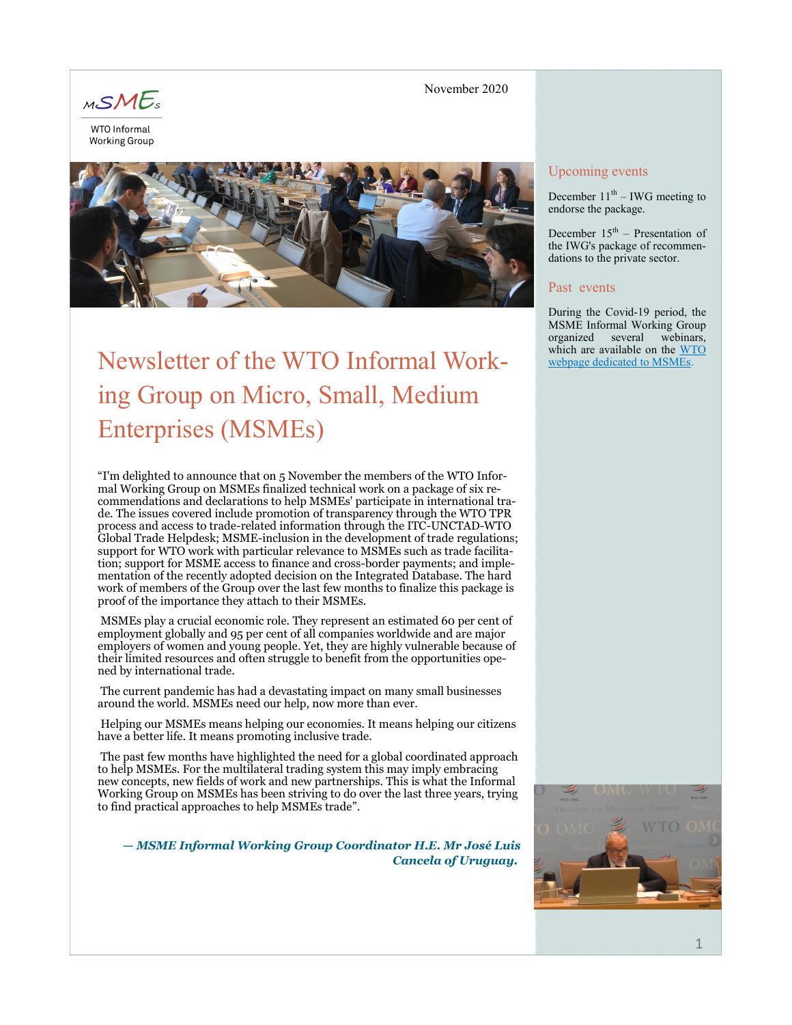

**Working Group** 

#### November 2020



# Newsletter of the WTO Informal Working Group on Micro, Small, Medium Enterprises (MSMEs)

"I'm delighted to announce that on 5 November the members of the WTO Informal Working Group on MSMEs finalized technical work on a package of six recommendations and declarations to help MSMEs' participate in international trade. The issues covered include promotion of transparency through the WTO TPR process and access to trade-related information through the ITC-UNCTAD-WTO Global Trade Helpdesk; MSME-inclusion in the development of trade regulations; support for WTO work with particular relevance to MSMEs such as trade facilitation; support for MSME access to finance and cross-border payments; and implementation of the recently adopted decision on the Integrated Database. The hard work of members of the Group over the last few months to finalize this package is proof of the importance they attach to their MSMEs.

MSMEs play a crucial economic role. They represent an estimated 60 per cent of employment globally and 95 per cent of all companies worldwide and are major employers of women and young people. Yet, they are highly vulnerable because of their limited resources and often struggle to benefit from the opportunities opened by international trade.

The current pandemic has had a devastating impact on many small businesses around the world. MSMEs need our help, now more than ever.

Helping our MSMEs means helping our economies. It means helping our citizens have a better life. It means promoting inclusive trade.

The past few months have highlighted the need for a global coordinated approach to help MSMEs. For the multilateral trading system this may imply embracing new concepts, new fields of work and new partnerships. This is what the Informal Working Group on MSMEs has been striving to do over the last three years, trying to find practical approaches to help MSMEs trade".

*— MSME Informal Working Group Coordinator H.E. Mr José Luis Cancela of Uruguay.*

# Upcoming events

December  $11<sup>th</sup> - IWG$  meeting to endorse the package.

December  $15<sup>th</sup>$  – Presentation of the IWG's package of recommendations to the private sector.

#### Past events

During the Covid-19 period, the MSME Informal Working Group organized several webinars, which are available on the WTO [webpage dedicated to MSMEs.](https://www.wto.org/english/tratop_e/msmesandtra_e/msmesandtra_e.htm) 

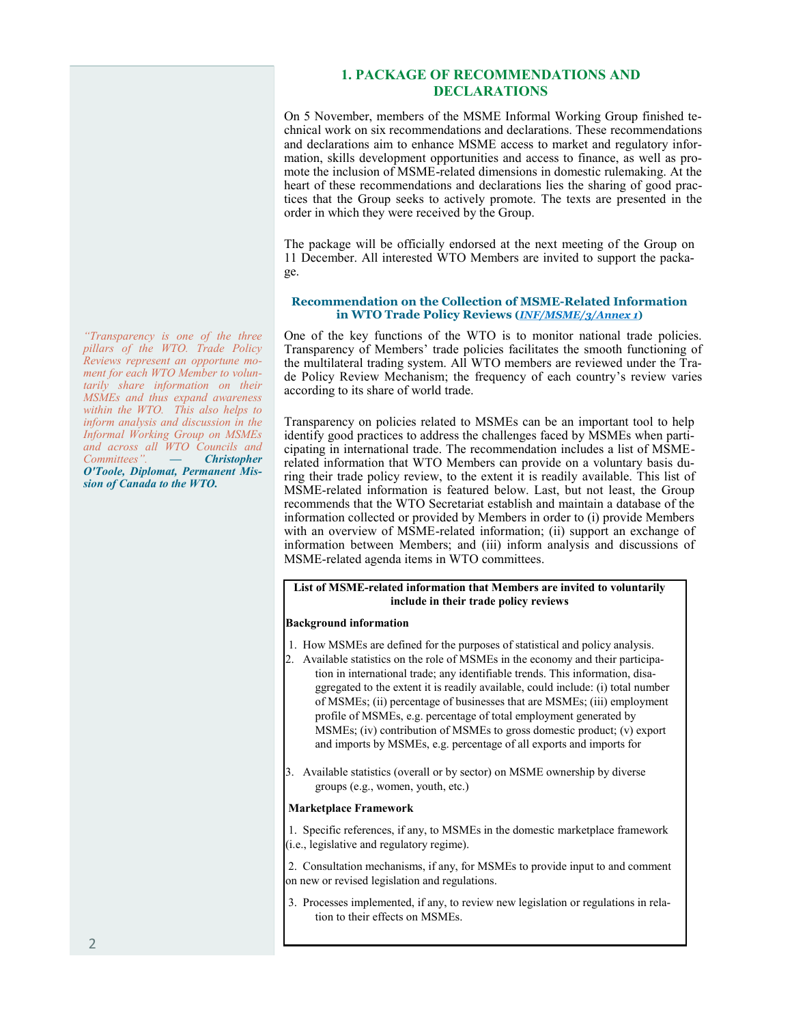#### **1. PACKAGE OF RECOMMENDATIONS AND DECLARATIONS**

On 5 November, members of the MSME Informal Working Group finished technical work on six recommendations and declarations. These recommendations and declarations aim to enhance MSME access to market and regulatory information, skills development opportunities and access to finance, as well as promote the inclusion of MSME-related dimensions in domestic rulemaking. At the heart of these recommendations and declarations lies the sharing of good practices that the Group seeks to actively promote. The texts are presented in the order in which they were received by the Group.

The package will be officially endorsed at the next meeting of the Group on 11 December. All interested WTO Members are invited to support the package.

#### **Recommendation on the Collection of MSME-Related Information in WTO Trade Policy Reviews (***[INF/MSME/3/Annex 1](https://docs.wto.org/dol2fe/Pages/FE_Search/FE_S_S009-DP.aspx?language=E&CatalogueIdList=268210&CurrentCatalogueIdIndex=0&FullTextHash=371857150&HasEnglishRecord=True&HasFrenchRecord=False&HasSpanishRecord=False)***)**

One of the key functions of the WTO is to monitor national trade policies. Transparency of Members' trade policies facilitates the smooth functioning of the multilateral trading system. All WTO members are reviewed under the Trade Policy Review Mechanism; the frequency of each country's review varies according to its share of world trade.

Transparency on policies related to MSMEs can be an important tool to help identify good practices to address the challenges faced by MSMEs when participating in international trade. The recommendation includes a list of MSMErelated information that WTO Members can provide on a voluntary basis during their trade policy review, to the extent it is readily available. This list of MSME-related information is featured below. Last, but not least, the Group recommends that the WTO Secretariat establish and maintain a database of the information collected or provided by Members in order to (i) provide Members with an overview of MSME-related information; (ii) support an exchange of information between Members; and (iii) inform analysis and discussions of MSME-related agenda items in WTO committees.

#### **List of MSME-related information that Members are invited to voluntarily include in their trade policy reviews**

#### **Background information**

- 1. How MSMEs are defined for the purposes of statistical and policy analysis.
- 2. Available statistics on the role of MSMEs in the economy and their participation in international trade; any identifiable trends. This information, disaggregated to the extent it is readily available, could include: (i) total number of MSMEs; (ii) percentage of businesses that are MSMEs; (iii) employment profile of MSMEs, e.g. percentage of total employment generated by MSMEs; (iv) contribution of MSMEs to gross domestic product; (v) export and imports by MSMEs, e.g. percentage of all exports and imports for
- 3. Available statistics (overall or by sector) on MSME ownership by diverse groups (e.g., women, youth, etc.)

#### **Marketplace Framework**

1. Specific references, if any, to MSMEs in the domestic marketplace framework (i.e., legislative and regulatory regime).

2. Consultation mechanisms, if any, for MSMEs to provide input to and comment on new or revised legislation and regulations.

3. Processes implemented, if any, to review new legislation or regulations in relation to their effects on MSMEs.

*"Transparency is one of the three pillars of the WTO. Trade Policy Reviews represent an opportune moment for each WTO Member to voluntarily share information on their MSMEs and thus expand awareness within the WTO. This also helps to inform analysis and discussion in the Informal Working Group on MSMEs and across all WTO Councils and Committees". — Christopher O'Toole, Diplomat, Permanent Mission of Canada to the WTO.*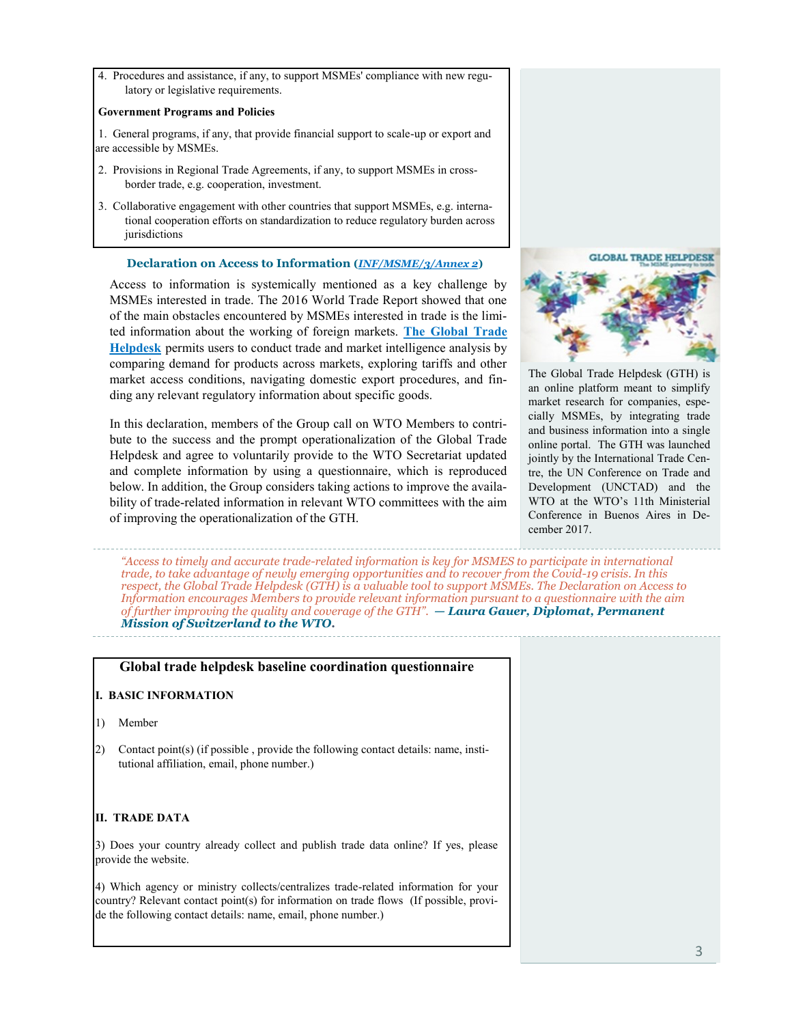4. Procedures and assistance, if any, to support MSMEs' compliance with new regulatory or legislative requirements.

#### **Government Programs and Policies**

1. General programs, if any, that provide financial support to scale-up or export and are accessible by MSMEs.

- 2. Provisions in Regional Trade Agreements, if any, to support MSMEs in crossborder trade, e.g. cooperation, investment.
- 3. Collaborative engagement with other countries that support MSMEs, e.g. international cooperation efforts on standardization to reduce regulatory burden across jurisdictions

#### **Declaration on Access to Information (***[INF/MSME/3/Annex 2](https://docs.wto.org/dol2fe/Pages/FE_Search/FE_S_S009-DP.aspx?language=E&CatalogueIdList=268210&CurrentCatalogueIdIndex=0&FullTextHash=371857150&HasEnglishRecord=True&HasFrenchRecord=False&HasSpanishRecord=False)***)**

Access to information is systemically mentioned as a key challenge by MSMEs interested in trade. The 2016 World Trade Report showed that one of the main obstacles encountered by MSMEs interested in trade is the limited information about the working of foreign markets. **[The Global Trade](https://www.globaltradehelpdesk.org/en)  [Helpdesk](https://www.globaltradehelpdesk.org/en)** permits users to conduct trade and market intelligence analysis by comparing demand for products across markets, exploring tariffs and other market access conditions, navigating domestic export procedures, and finding any relevant regulatory information about specific goods.

In this declaration, members of the Group call on WTO Members to contribute to the success and the prompt operationalization of the Global Trade Helpdesk and agree to voluntarily provide to the WTO Secretariat updated and complete information by using a questionnaire, which is reproduced below. In addition, the Group considers taking actions to improve the availability of trade-related information in relevant WTO committees with the aim of improving the operationalization of the GTH.



The Global Trade Helpdesk (GTH) is an online platform meant to simplify market research for companies, especially MSMEs, by integrating trade and business information into a single online portal. The GTH was launched jointly by the International Trade Centre, the UN Conference on Trade and Development (UNCTAD) and the WTO at the WTO's 11th Ministerial Conference in Buenos Aires in December 2017.

*"Access to timely and accurate trade-related information is key for MSMES to participate in international trade, to take advantage of newly emerging opportunities and to recover from the Covid-19 crisis. In this respect, the Global Trade Helpdesk (GTH) is a valuable tool to support MSMEs. The Declaration on Access to Information encourages Members to provide relevant information pursuant to a questionnaire with the aim of further improving the quality and coverage of the GTH". — Laura Gauer, Diplomat, Permanent Mission of Switzerland to the WTO.*

# **Global trade helpdesk baseline coordination questionnaire**

#### **I. BASIC INFORMATION**

- 1) Member
- 2) Contact point(s) (if possible , provide the following contact details: name, institutional affiliation, email, phone number.)

# **II. TRADE DATA**

3) Does your country already collect and publish trade data online? If yes, please provide the website.

4) Which agency or ministry collects/centralizes trade-related information for your country? Relevant contact point(s) for information on trade flows (If possible, provide the following contact details: name, email, phone number.)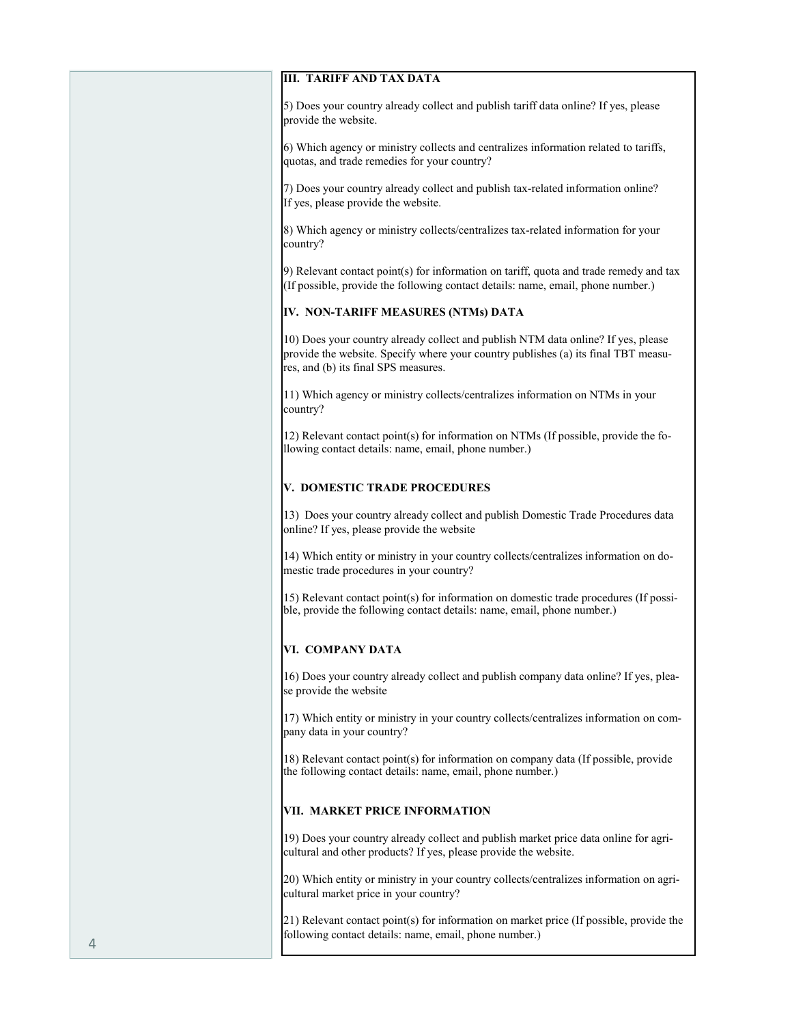#### **III. TARIFF AND TAX DATA**

5) Does your country already collect and publish tariff data online? If yes, please provide the website.

6) Which agency or ministry collects and centralizes information related to tariffs, quotas, and trade remedies for your country?

7) Does your country already collect and publish tax-related information online? If yes, please provide the website.

8) Which agency or ministry collects/centralizes tax-related information for your country?

9) Relevant contact point(s) for information on tariff, quota and trade remedy and tax (If possible, provide the following contact details: name, email, phone number.)

# **IV. NON-TARIFF MEASURES (NTMs) DATA**

10) Does your country already collect and publish NTM data online? If yes, please provide the website. Specify where your country publishes (a) its final TBT measures, and (b) its final SPS measures.

11) Which agency or ministry collects/centralizes information on NTMs in your country?

12) Relevant contact point(s) for information on NTMs (If possible, provide the following contact details: name, email, phone number.)

# **V. DOMESTIC TRADE PROCEDURES**

13) Does your country already collect and publish Domestic Trade Procedures data online? If yes, please provide the website

14) Which entity or ministry in your country collects/centralizes information on domestic trade procedures in your country?

15) Relevant contact point(s) for information on domestic trade procedures (If possible, provide the following contact details: name, email, phone number.)

# **VI. COMPANY DATA**

16) Does your country already collect and publish company data online? If yes, please provide the website

17) Which entity or ministry in your country collects/centralizes information on company data in your country?

18) Relevant contact point(s) for information on company data (If possible, provide the following contact details: name, email, phone number.)

# **VII. MARKET PRICE INFORMATION**

19) Does your country already collect and publish market price data online for agricultural and other products? If yes, please provide the website.

20) Which entity or ministry in your country collects/centralizes information on agricultural market price in your country?

21) Relevant contact point(s) for information on market price (If possible, provide the following contact details: name, email, phone number.)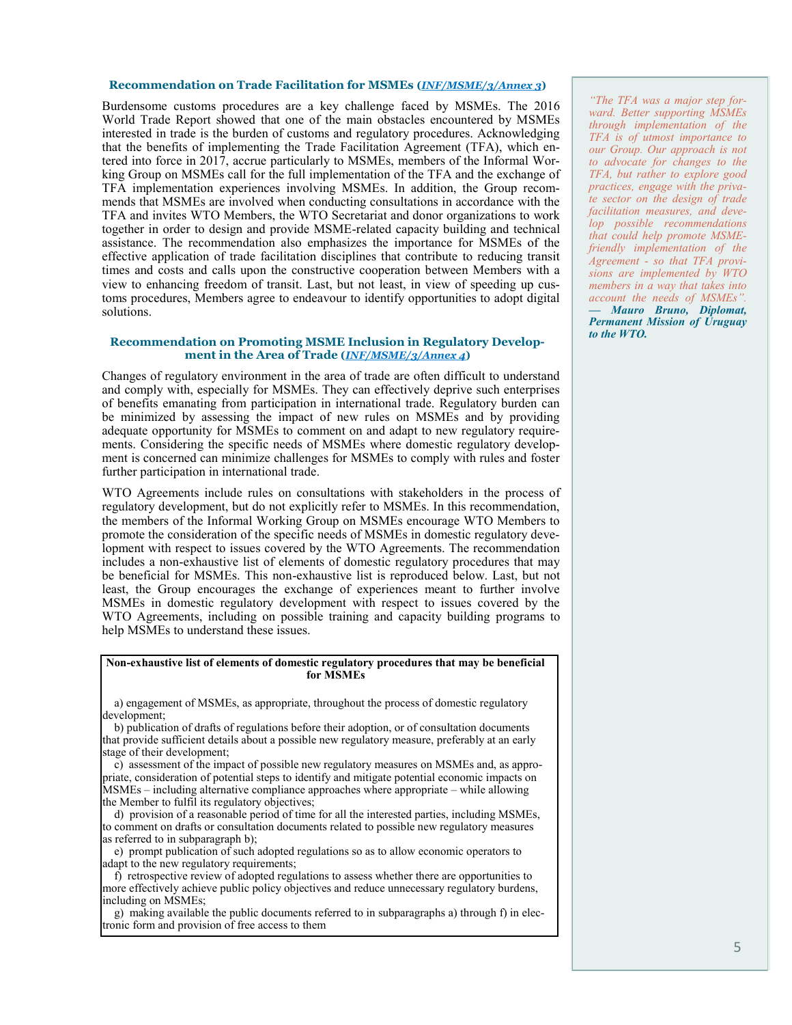#### **Recommendation on Trade Facilitation for MSMEs (***[INF/MSME/3/Annex 3](https://docs.wto.org/dol2fe/Pages/FE_Search/FE_S_S009-DP.aspx?language=E&CatalogueIdList=268210&CurrentCatalogueIdIndex=0&FullTextHash=371857150&HasEnglishRecord=True&HasFrenchRecord=False&HasSpanishRecord=False)***)**

Burdensome customs procedures are a key challenge faced by MSMEs. The 2016 World Trade Report showed that one of the main obstacles encountered by MSMEs interested in trade is the burden of customs and regulatory procedures. Acknowledging that the benefits of implementing the Trade Facilitation Agreement (TFA), which entered into force in 2017, accrue particularly to MSMEs, members of the Informal Working Group on MSMEs call for the full implementation of the TFA and the exchange of TFA implementation experiences involving MSMEs. In addition, the Group recommends that MSMEs are involved when conducting consultations in accordance with the TFA and invites WTO Members, the WTO Secretariat and donor organizations to work together in order to design and provide MSME-related capacity building and technical assistance. The recommendation also emphasizes the importance for MSMEs of the effective application of trade facilitation disciplines that contribute to reducing transit times and costs and calls upon the constructive cooperation between Members with a view to enhancing freedom of transit. Last, but not least, in view of speeding up customs procedures, Members agree to endeavour to identify opportunities to adopt digital solutions.

#### **Recommendation on Promoting MSME Inclusion in Regulatory Development in the Area of Trade (***[INF/MSME/3/Annex 4](https://docs.wto.org/dol2fe/Pages/FE_Search/FE_S_S009-DP.aspx?language=E&CatalogueIdList=268210&CurrentCatalogueIdIndex=0&FullTextHash=371857150&HasEnglishRecord=True&HasFrenchRecord=False&HasSpanishRecord=False)***)**

Changes of regulatory environment in the area of trade are often difficult to understand and comply with, especially for MSMEs. They can effectively deprive such enterprises of benefits emanating from participation in international trade. Regulatory burden can be minimized by assessing the impact of new rules on MSMEs and by providing adequate opportunity for MSMEs to comment on and adapt to new regulatory requirements. Considering the specific needs of MSMEs where domestic regulatory development is concerned can minimize challenges for MSMEs to comply with rules and foster further participation in international trade.

WTO Agreements include rules on consultations with stakeholders in the process of regulatory development, but do not explicitly refer to MSMEs. In this recommendation, the members of the Informal Working Group on MSMEs encourage WTO Members to promote the consideration of the specific needs of MSMEs in domestic regulatory development with respect to issues covered by the WTO Agreements. The recommendation includes a non-exhaustive list of elements of domestic regulatory procedures that may be beneficial for MSMEs. This non-exhaustive list is reproduced below. Last, but not least, the Group encourages the exchange of experiences meant to further involve MSMEs in domestic regulatory development with respect to issues covered by the WTO Agreements, including on possible training and capacity building programs to help MSMEs to understand these issues.

#### **Non-exhaustive list of elements of domestic regulatory procedures that may be beneficial for MSMEs**

 a) engagement of MSMEs, as appropriate, throughout the process of domestic regulatory development;

 b) publication of drafts of regulations before their adoption, or of consultation documents that provide sufficient details about a possible new regulatory measure, preferably at an early stage of their development;

 c) assessment of the impact of possible new regulatory measures on MSMEs and, as appropriate, consideration of potential steps to identify and mitigate potential economic impacts on MSMEs – including alternative compliance approaches where appropriate – while allowing the Member to fulfil its regulatory objectives;

 d) provision of a reasonable period of time for all the interested parties, including MSMEs, to comment on drafts or consultation documents related to possible new regulatory measures as referred to in subparagraph b);

 e) prompt publication of such adopted regulations so as to allow economic operators to adapt to the new regulatory requirements;

 f) retrospective review of adopted regulations to assess whether there are opportunities to more effectively achieve public policy objectives and reduce unnecessary regulatory burdens, including on MSMEs;

 g) making available the public documents referred to in subparagraphs a) through f) in electronic form and provision of free access to them

*"The TFA was a major step forward. Better supporting MSMEs through implementation of the TFA is of utmost importance to our Group. Our approach is not to advocate for changes to the TFA, but rather to explore good practices, engage with the private sector on the design of trade facilitation measures, and develop possible recommendations that could help promote MSMEfriendly implementation of the Agreement - so that TFA provisions are implemented by WTO members in a way that takes into account the needs of MSMEs". — Mauro Bruno, Diplomat, Permanent Mission of Uruguay to the WTO.*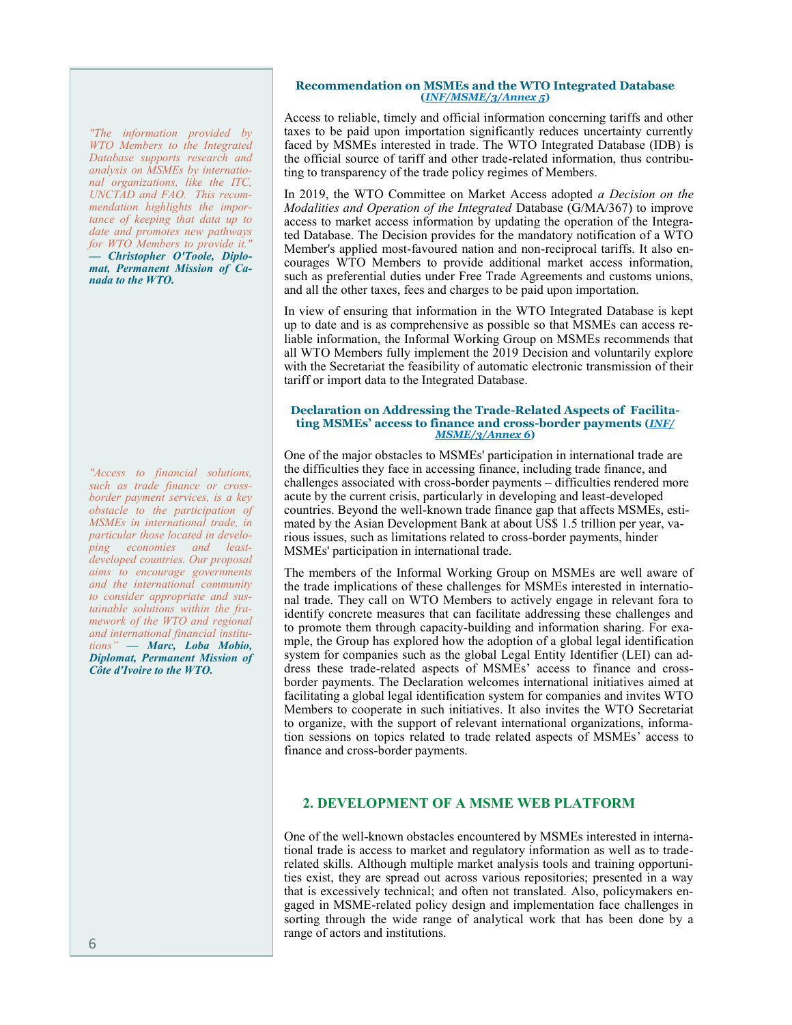*"The information provided by WTO Members to the Integrated Database supports research and analysis on MSMEs by international organizations, like the ITC, UNCTAD and FAO. This recommendation highlights the importance of keeping that data up to date and promotes new pathways for WTO Members to provide it." — Christopher O'Toole, Diplomat, Permanent Mission of Canada to the WTO.*

*"Access to financial solutions, such as trade finance or crossborder payment services, is a key obstacle to the participation of MSMEs in international trade, in particular those located in developing economies and leastdeveloped countries. Our proposal aims to encourage governments and the international community to consider appropriate and sustainable solutions within the framework of the WTO and regional and international financial institutions" — Marc, Loba Mobio, Diplomat, Permanent Mission of Côte d'Ivoire to the WTO.*

#### **Recommendation on MSMEs and the WTO Integrated Database (***[INF/MSME/3/Annex 5](https://docs.wto.org/dol2fe/Pages/FE_Search/FE_S_S009-DP.aspx?language=E&CatalogueIdList=268210&CurrentCatalogueIdIndex=0&FullTextHash=371857150&HasEnglishRecord=True&HasFrenchRecord=False&HasSpanishRecord=False)***)**

Access to reliable, timely and official information concerning tariffs and other taxes to be paid upon importation significantly reduces uncertainty currently faced by MSMEs interested in trade. The WTO Integrated Database (IDB) is the official source of tariff and other trade-related information, thus contributing to transparency of the trade policy regimes of Members.

In 2019, the WTO Committee on Market Access adopted *a Decision on the Modalities and Operation of the Integrated* Database (G/MA/367) to improve access to market access information by updating the operation of the Integrated Database. The Decision provides for the mandatory notification of a WTO Member's applied most-favoured nation and non-reciprocal tariffs. It also encourages WTO Members to provide additional market access information, such as preferential duties under Free Trade Agreements and customs unions, and all the other taxes, fees and charges to be paid upon importation.

In view of ensuring that information in the WTO Integrated Database is kept up to date and is as comprehensive as possible so that MSMEs can access reliable information, the Informal Working Group on MSMEs recommends that all WTO Members fully implement the 2019 Decision and voluntarily explore with the Secretariat the feasibility of automatic electronic transmission of their tariff or import data to the Integrated Database.

#### **Declaration on Addressing the Trade-Related Aspects of Facilitating MSMEs' access to finance and cross-border payments (***[INF/](https://docs.wto.org/dol2fe/Pages/FE_Search/FE_S_S009-DP.aspx?language=E&CatalogueIdList=268210&CurrentCatalogueIdIndex=0&FullTextHash=371857150&HasEnglishRecord=True&HasFrenchRecord=False&HasSpanishRecord=False) [MSME/3/Annex 6](https://docs.wto.org/dol2fe/Pages/FE_Search/FE_S_S009-DP.aspx?language=E&CatalogueIdList=268210&CurrentCatalogueIdIndex=0&FullTextHash=371857150&HasEnglishRecord=True&HasFrenchRecord=False&HasSpanishRecord=False)***)**

One of the major obstacles to MSMEs' participation in international trade are the difficulties they face in accessing finance, including trade finance, and challenges associated with cross-border payments – difficulties rendered more acute by the current crisis, particularly in developing and least-developed countries. Beyond the well-known trade finance gap that affects MSMEs, estimated by the Asian Development Bank at about US\$ 1.5 trillion per year, various issues, such as limitations related to cross-border payments, hinder MSMEs' participation in international trade.

The members of the Informal Working Group on MSMEs are well aware of the trade implications of these challenges for MSMEs interested in international trade. They call on WTO Members to actively engage in relevant fora to identify concrete measures that can facilitate addressing these challenges and to promote them through capacity-building and information sharing. For example, the Group has explored how the adoption of a global legal identification system for companies such as the global Legal Entity Identifier (LEI) can address these trade-related aspects of MSMEs' access to finance and crossborder payments. The Declaration welcomes international initiatives aimed at facilitating a global legal identification system for companies and invites WTO Members to cooperate in such initiatives. It also invites the WTO Secretariat to organize, with the support of relevant international organizations, information sessions on topics related to trade related aspects of MSMEs' access to finance and cross-border payments.

# **2. DEVELOPMENT OF A MSME WEB PLATFORM**

One of the well-known obstacles encountered by MSMEs interested in international trade is access to market and regulatory information as well as to traderelated skills. Although multiple market analysis tools and training opportunities exist, they are spread out across various repositories; presented in a way that is excessively technical; and often not translated. Also, policymakers engaged in MSME-related policy design and implementation face challenges in sorting through the wide range of analytical work that has been done by a range of actors and institutions.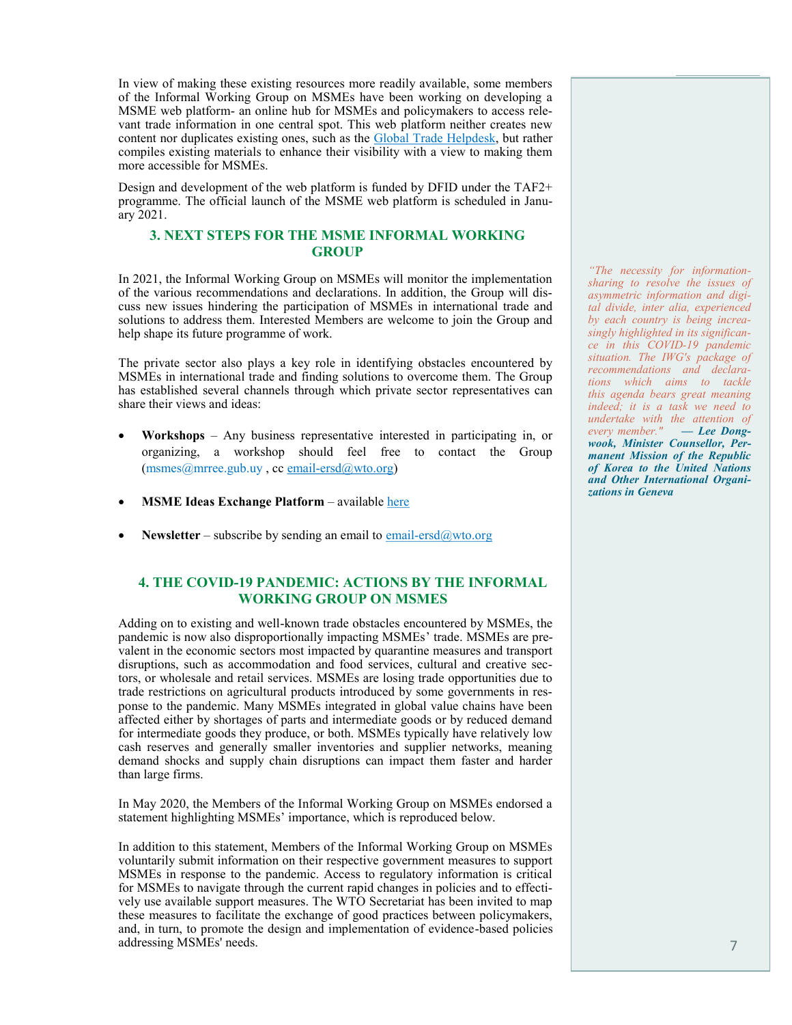In view of making these existing resources more readily available, some members of the Informal Working Group on MSMEs have been working on developing a MSME web platform- an online hub for MSMEs and policymakers to access relevant trade information in one central spot. This web platform neither creates new content nor duplicates existing ones, such as the **Global Trade Helpdesk**, but rather compiles existing materials to enhance their visibility with a view to making them more accessible for MSMEs.

Design and development of the web platform is funded by DFID under the TAF2+ programme. The official launch of the MSME web platform is scheduled in January 2021.

#### **3. NEXT STEPS FOR THE MSME INFORMAL WORKING GROUP**

In 2021, the Informal Working Group on MSMEs will monitor the implementation of the various recommendations and declarations. In addition, the Group will discuss new issues hindering the participation of MSMEs in international trade and solutions to address them. Interested Members are welcome to join the Group and help shape its future programme of work.

The private sector also plays a key role in identifying obstacles encountered by MSMEs in international trade and finding solutions to overcome them. The Group has established several channels through which private sector representatives can share their views and ideas:

- **Workshops** Any business representative interested in participating in, or organizing, a workshop should feel free to contact the Group  $(msmes@mtree.gub.uy, cc email-ersd@wto.org)$
- **MSME Ideas Exchange Platform** [available here](https://tradedialogues.org/themes/joint-initiative/)
- **Newsletter** subscribe by sending an email to email-ersd $@$ wto.org

# **4. THE COVID-19 PANDEMIC: ACTIONS BY THE INFORMAL WORKING GROUP ON MSMES**

Adding on to existing and well-known trade obstacles encountered by MSMEs, the pandemic is now also disproportionally impacting MSMEs' trade. MSMEs are prevalent in the economic sectors most impacted by quarantine measures and transport disruptions, such as accommodation and food services, cultural and creative sectors, or wholesale and retail services. MSMEs are losing trade opportunities due to trade restrictions on agricultural products introduced by some governments in response to the pandemic. Many MSMEs integrated in global value chains have been affected either by shortages of parts and intermediate goods or by reduced demand for intermediate goods they produce, or both. MSMEs typically have relatively low cash reserves and generally smaller inventories and supplier networks, meaning demand shocks and supply chain disruptions can impact them faster and harder than large firms.

In May 2020, the Members of the Informal Working Group on MSMEs endorsed a statement highlighting MSMEs' importance, which is reproduced below.

In addition to this statement, Members of the Informal Working Group on MSMEs voluntarily submit information on their respective government measures to support MSMEs in response to the pandemic. Access to regulatory information is critical for MSMEs to navigate through the current rapid changes in policies and to effectively use available support measures. The WTO Secretariat has been invited to map these measures to facilitate the exchange of good practices between policymakers, and, in turn, to promote the design and implementation of evidence-based policies addressing MSMEs' needs.

*"The necessity for informationsharing to resolve the issues of asymmetric information and digital divide, inter alia, experienced by each country is being increasingly highlighted in its significance in this COVID-19 pandemic situation. The IWG's package of recommendations and declarations which aims to tackle this agenda bears great meaning indeed; it is a task we need to undertake with the attention of every member." — Lee Dongwook, Minister Counsellor, Permanent Mission of the Republic of Korea to the United Nations and Other International Organizations in Geneva*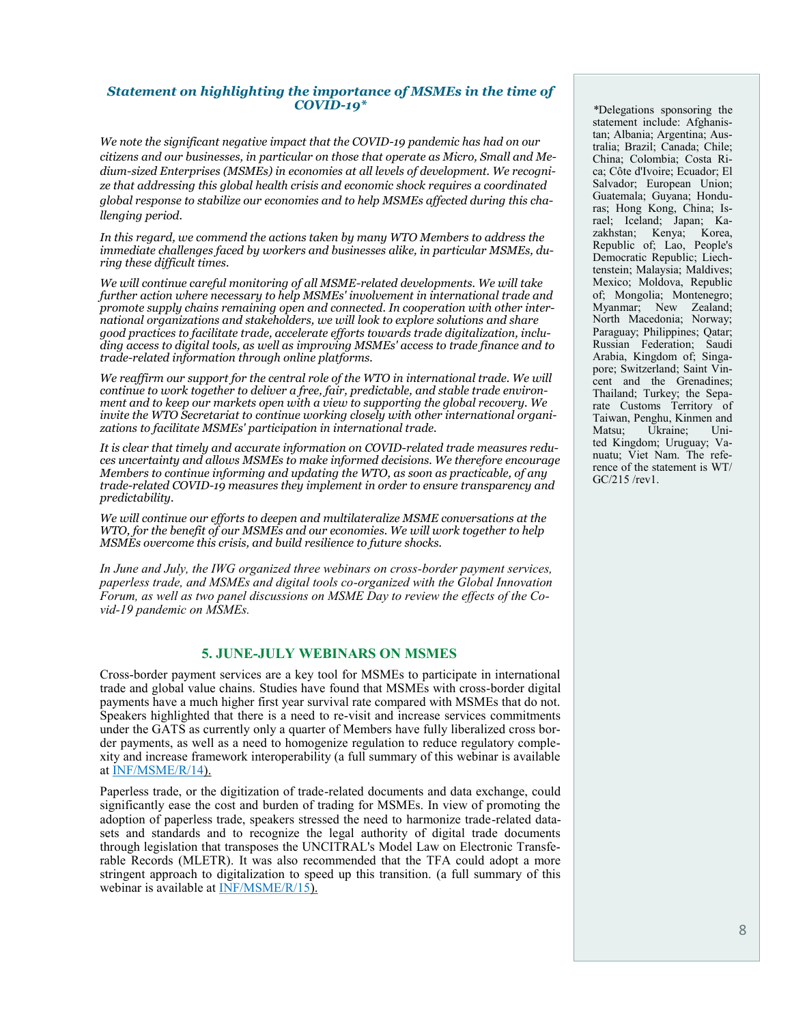#### *Statement on highlighting the importance of MSMEs in the time of COVID-19\**

*We note the significant negative impact that the COVID-19 pandemic has had on our citizens and our businesses, in particular on those that operate as Micro, Small and Medium-sized Enterprises (MSMEs) in economies at all levels of development. We recognize that addressing this global health crisis and economic shock requires a coordinated global response to stabilize our economies and to help MSMEs affected during this challenging period.*

*In this regard, we commend the actions taken by many WTO Members to address the immediate challenges faced by workers and businesses alike, in particular MSMEs, during these difficult times.*

*We will continue careful monitoring of all MSME-related developments. We will take further action where necessary to help MSMEs' involvement in international trade and promote supply chains remaining open and connected. In cooperation with other international organizations and stakeholders, we will look to explore solutions and share good practices to facilitate trade, accelerate efforts towards trade digitalization, including access to digital tools, as well as improving MSMEs' access to trade finance and to trade-related information through online platforms.* 

We reaffirm our support for the central role of the WTO in international trade. We will *continue to work together to deliver a free, fair, predictable, and stable trade environment and to keep our markets open with a view to supporting the global recovery. We invite the WTO Secretariat to continue working closely with other international organizations to facilitate MSMEs' participation in international trade.* 

*It is clear that timely and accurate information on COVID-related trade measures reduces uncertainty and allows MSMEs to make informed decisions. We therefore encourage Members to continue informing and updating the WTO, as soon as practicable, of any trade-related COVID-19 measures they implement in order to ensure transparency and predictability.* 

*We will continue our efforts to deepen and multilateralize MSME conversations at the WTO, for the benefit of our MSMEs and our economies. We will work together to help MSMEs overcome this crisis, and build resilience to future shocks.*

*In June and July, the IWG organized three webinars on cross-border payment services, paperless trade, and MSMEs and digital tools co-organized with the Global Innovation Forum, as well as two panel discussions on MSME Day to review the effects of the Covid-19 pandemic on MSMEs.*

#### **5. JUNE-JULY WEBINARS ON MSMES**

Cross-border payment services are a key tool for MSMEs to participate in international trade and global value chains. Studies have found that MSMEs with cross-border digital payments have a much higher first year survival rate compared with MSMEs that do not. Speakers highlighted that there is a need to re-visit and increase services commitments under the GATS as currently only a quarter of Members have fully liberalized cross border payments, as well as a need to homogenize regulation to reduce regulatory complexity and increase framework interoperability (a full summary of this webinar is available at [INF/MSME/R/14\).](https://docs.wto.org/dol2fe/Pages/FE_Search/FE_S_S009-DP.aspx?language=E&CatalogueIdList=264670,264671,264416,264256,264192,263206,261612,261623,261204,261144&CurrentCatalogueIdIndex=0&FullTextHash=&HasEnglishRecord=True&HasFrenchRecord=False&HasSpanishRecord)

Paperless trade, or the digitization of trade-related documents and data exchange, could significantly ease the cost and burden of trading for MSMEs. In view of promoting the adoption of paperless trade, speakers stressed the need to harmonize trade-related datasets and standards and to recognize the legal authority of digital trade documents through legislation that transposes the UNCITRAL's Model Law on Electronic Transferable Records (MLETR). It was also recommended that the TFA could adopt a more stringent approach to digitalization to speed up this transition. (a full summary of this webinar is available at [INF/MSME/R/15\)](https://docs.wto.org/dol2fe/Pages/FE_Search/FE_S_S009-DP.aspx?language=E&CatalogueIdList=264670,264671,264541,264532,264416,264359,264256,264205,264192,263924&CurrentCatalogueIdIndex=1&FullTextHash=&HasEnglishRecord=True&HasFrenchRecord=False&HasSpanishRecord).

*\**Delegations sponsoring the statement include: Afghanistan; Albania; Argentina; Australia; Brazil; Canada; Chile; China; Colombia; Costa Rica; Côte d'Ivoire; Ecuador; El Salvador; European Union; Guatemala; Guyana; Honduras; Hong Kong, China; Israel; Iceland; Japan; Kazakhstan; Kenya; Korea, Republic of; Lao, People's Democratic Republic; Liechtenstein; Malaysia; Maldives; Mexico; Moldova, Republic of; Mongolia; Montenegro; Myanmar; New Zealand; North Macedonia; Norway; Paraguay; Philippines; Qatar; Russian Federation; Saudi Arabia, Kingdom of; Singapore; Switzerland; Saint Vincent and the Grenadines; Thailand; Turkey; the Separate Customs Territory of Taiwan, Penghu, Kinmen and Matsu; Ukraine; United Kingdom; Uruguay; Vanuatu; Viet Nam. The reference of the statement is WT/ GC/215 /rev1.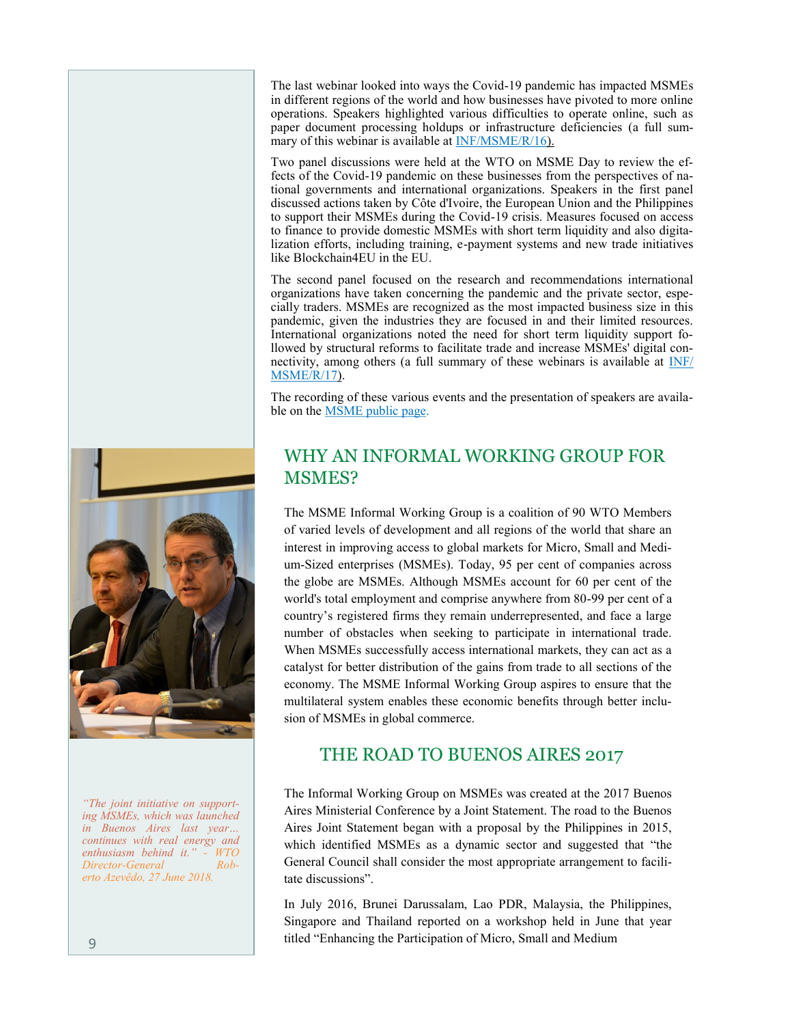The last webinar looked into ways the Covid-19 pandemic has impacted MSMEs in different regions of the world and how businesses have pivoted to more online operations. Speakers highlighted various difficulties to operate online, such as paper document processing holdups or infrastructure deficiencies (a full sum-mary of this webinar is available at [INF/MSME/R/16\)](https://docs.wto.org/dol2fe/Pages/SS/directdoc.aspx?filename=q:/INF/MSME/R16.pdf&Open=True).

Two panel discussions were held at the WTO on MSME Day to review the effects of the Covid-19 pandemic on these businesses from the perspectives of national governments and international organizations. Speakers in the first panel discussed actions taken by Côte d'Ivoire, the European Union and the Philippines to support their MSMEs during the Covid-19 crisis. Measures focused on access to finance to provide domestic MSMEs with short term liquidity and also digitalization efforts, including training, e-payment systems and new trade initiatives like Blockchain4EU in the EU.

The second panel focused on the research and recommendations international organizations have taken concerning the pandemic and the private sector, especially traders. MSMEs are recognized as the most impacted business size in this pandemic, given the industries they are focused in and their limited resources. International organizations noted the need for short term liquidity support followed by structural reforms to facilitate trade and increase MSMEs' digital connectivity, among others (a full summary of these webinars is available at **[INF/](https://docs.wto.org/dol2festaff/Pages/SS/directdoc.aspx?filename=q:/INF/MSME/R17.pdf&Open=True)** [MSME/R/17\)](https://docs.wto.org/dol2festaff/Pages/SS/directdoc.aspx?filename=q:/INF/MSME/R17.pdf&Open=True).

The recording of these various events and the presentation of speakers are available on the **MSME** public page.

# WHY AN INFORMAL WORKING GROUP FOR MSMES?

The MSME Informal Working Group is a coalition of 90 WTO Members of varied levels of development and all regions of the world that share an interest in improving access to global markets for Micro, Small and Medium-Sized enterprises (MSMEs). Today, 95 per cent of companies across the globe are MSMEs. Although MSMEs account for 60 per cent of the world's total employment and comprise anywhere from 80-99 per cent of a country's registered firms they remain underrepresented, and face a large number of obstacles when seeking to participate in international trade. When MSMEs successfully access international markets, they can act as a catalyst for better distribution of the gains from trade to all sections of the economy. The MSME Informal Working Group aspires to ensure that the multilateral system enables these economic benefits through better inclusion of MSMEs in global commerce.

# THE ROAD TO BUENOS AIRES 2017

The Informal Working Group on MSMEs was created at the 2017 Buenos Aires Ministerial Conference by a Joint Statement. The road to the Buenos Aires Joint Statement began with a proposal by the Philippines in 2015, which identified MSMEs as a dynamic sector and suggested that "the General Council shall consider the most appropriate arrangement to facilitate discussions".

In July 2016, Brunei Darussalam, Lao PDR, Malaysia, the Philippines, Singapore and Thailand reported on a workshop held in June that year titled "Enhancing the Participation of Micro, Small and Medium



*"The joint initiative on supporting MSMEs, which was launched in Buenos Aires last year… continues with real energy and*   $enthusiasm behind it.'$ *Director-General Roberto Azevêdo, 27 [June 2018.](https://www.wto.org/english/news_e/spra_e/spra227_e.htm)*